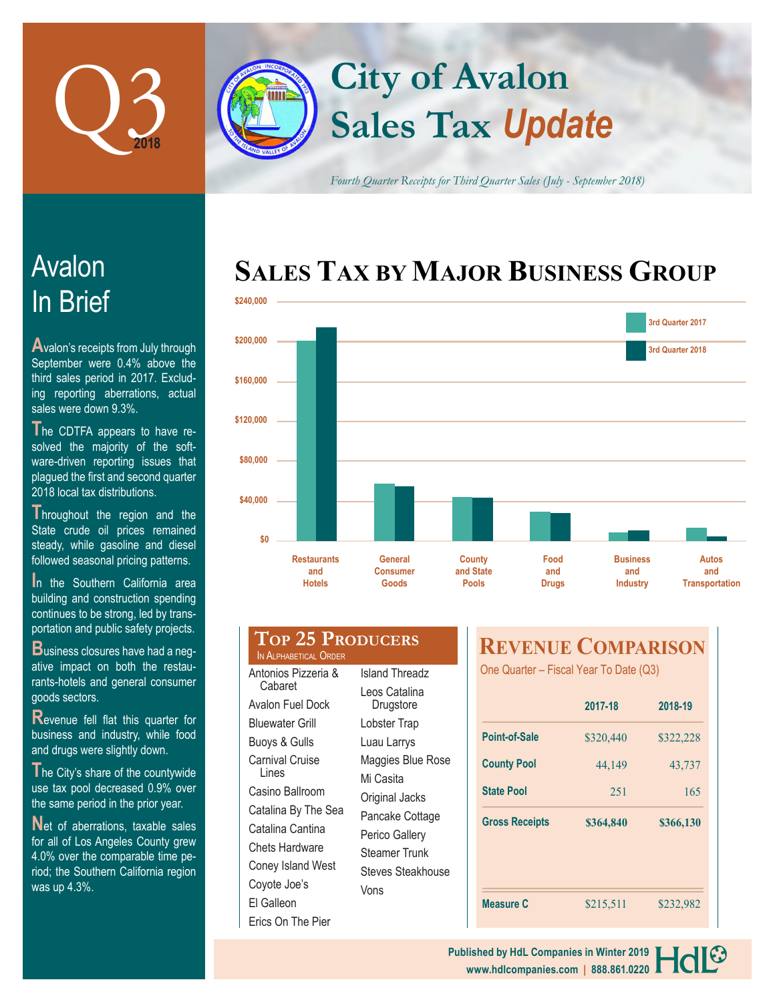

# **Sales Tax** *Update* **City of Avalon**

*Fourth Quarter Receipts for Third Quarter Sales (July - September 2018)*

## **SALES TAX BY MAJOR BUSINESS GROUP**



## In Brief Avalon

**A**valon's receipts from July through September were 0.4% above the third sales period in 2017. Excluding reporting aberrations, actual sales were down 9.3%.

**T**he CDTFA appears to have resolved the majority of the software-driven reporting issues that plagued the first and second quarter 2018 local tax distributions.

**Throughout the region and the** State crude oil prices remained steady, while gasoline and diesel followed seasonal pricing patterns.

**In the Southern California area** building and construction spending continues to be strong, led by transportation and public safety projects.

**B**usiness closures have had a negative impact on both the restaurants-hotels and general consumer goods sectors.

**R**evenue fell flat this quarter for business and industry, while food and drugs were slightly down.

**T**he City's share of the countywide use tax pool decreased 0.9% over the same period in the prior year.

Net of aberrations, taxable sales for all of Los Angeles County grew 4.0% over the comparable time period; the Southern California region was up 4.3%.

| <b>Hotels</b> | Goods               | O١ |
|---------------|---------------------|----|
|               |                     |    |
|               | <b>25 PRODUCERS</b> |    |

IN ALPHABETICAL ORDER Antonios Pizzeria & Cabaret Avalon Fuel Dock Bluewater Grill Buoys & Gulls Carnival Cruise Lines Casino Ballroom Catalina By The Sea Catalina Cantina Chets Hardware Coney Island West Coyote Joe's El Galleon Erics On The Pier

Island Threadz Leos Catalina Drugstore Lobster Trap Luau Larrys Maggies Blue Rose Mi Casita Original Jacks Pancake Cottage Perico Gallery Steamer Trunk Steves Steakhouse Vons

## **REVENUE COMPARISON**

One Quarter – Fiscal Year To Date (Q3)

|                       | 2017-18   | 2018-19   |
|-----------------------|-----------|-----------|
| <b>Point-of-Sale</b>  | \$320,440 | \$322,228 |
| <b>County Pool</b>    | 44,149    | 43,737    |
| <b>State Pool</b>     | 251       | 165       |
|                       |           |           |
| <b>Gross Receipts</b> | \$364,840 | \$366,130 |
|                       |           |           |
|                       |           |           |